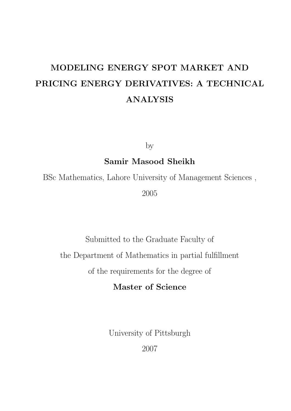# MODELING ENERGY SPOT MARKET AND PRICING ENERGY DERIVATIVES: A TECHNICAL ANALYSIS

by

## Samir Masood Sheikh

BSc Mathematics, Lahore University of Management Sciences , 2005

Submitted to the Graduate Faculty of

the Department of Mathematics in partial fulfillment

of the requirements for the degree of

## Master of Science

University of Pittsburgh

2007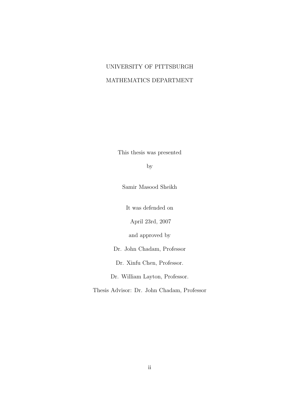## UNIVERSITY OF PITTSBURGH MATHEMATICS DEPARTMENT

This thesis was presented

by

Samir Masood Sheikh

It was defended on

April 23rd, 2007

and approved by

Dr. John Chadam, Professor

Dr. Xinfu Chen, Professor.

Dr. William Layton, Professor.

Thesis Advisor: Dr. John Chadam, Professor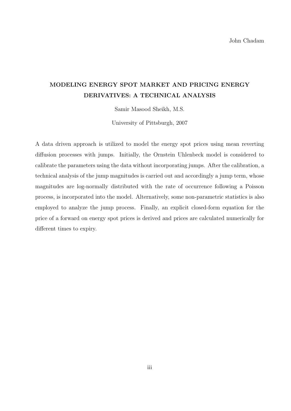## MODELING ENERGY SPOT MARKET AND PRICING ENERGY DERIVATIVES: A TECHNICAL ANALYSIS

Samir Masood Sheikh, M.S.

University of Pittsburgh, 2007

A data driven approach is utilized to model the energy spot prices using mean reverting diffusion processes with jumps. Initially, the Ornstein Uhlenbeck model is considered to calibrate the parameters using the data without incorporating jumps. After the calibration, a technical analysis of the jump magnitudes is carried out and accordingly a jump term, whose magnitudes are log-normally distributed with the rate of occurrence following a Poisson process, is incorporated into the model. Alternatively, some non-parametric statistics is also employed to analyze the jump process. Finally, an explicit closed-form equation for the price of a forward on energy spot prices is derived and prices are calculated numerically for different times to expiry.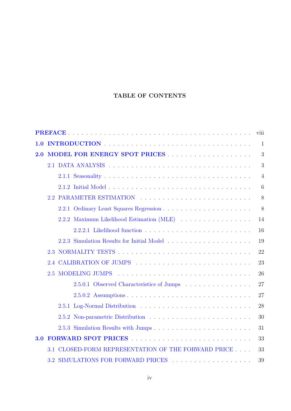## TABLE OF CONTENTS

|     |                                                        | viii           |
|-----|--------------------------------------------------------|----------------|
| 1.0 |                                                        | $\mathbf{1}$   |
| 2.0 |                                                        | 3              |
|     |                                                        | 3              |
|     |                                                        | $\overline{4}$ |
|     |                                                        | 6              |
|     | 2.2 PARAMETER ESTIMATION                               | 8              |
|     |                                                        | 8              |
|     | 2.2.2 Maximum Likelihood Estimation (MLE)              | 14             |
|     |                                                        | 16             |
|     |                                                        | 19             |
|     |                                                        | 22             |
|     | 2.4                                                    | 23             |
|     | <b>MODELING JUMPS</b><br>2.5                           | 26             |
|     | 2.5.0.1 Observed Characteristics of Jumps              | 27             |
|     |                                                        | 27             |
|     |                                                        | 28             |
|     |                                                        | 30             |
|     |                                                        | 31             |
| 3.0 |                                                        | 33             |
|     | CLOSED-FORM REPRESENTATION OF THE FORWARD PRICE<br>3.1 | 33             |
|     | 3.2 SIMULATIONS FOR FORWARD PRICES                     | 39             |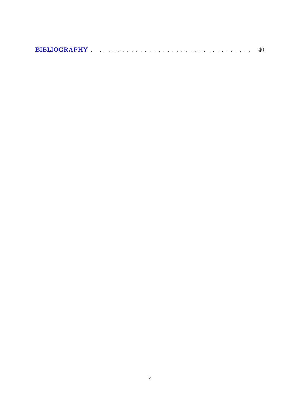| BIBLIOGRAPHY The contract of the contract of the contract of the contract of the contract of the contract of the contract of the contract of the contract of the contract of the contract of the contract of the contract of t |  |  |  |  |  |  |  |  |  |  |  |  |  |  |  |  |  |  |  |  |  |  |  |  |  |  |  |  |  |  |  |  |  |  |  |  |  |
|--------------------------------------------------------------------------------------------------------------------------------------------------------------------------------------------------------------------------------|--|--|--|--|--|--|--|--|--|--|--|--|--|--|--|--|--|--|--|--|--|--|--|--|--|--|--|--|--|--|--|--|--|--|--|--|--|
|--------------------------------------------------------------------------------------------------------------------------------------------------------------------------------------------------------------------------------|--|--|--|--|--|--|--|--|--|--|--|--|--|--|--|--|--|--|--|--|--|--|--|--|--|--|--|--|--|--|--|--|--|--|--|--|--|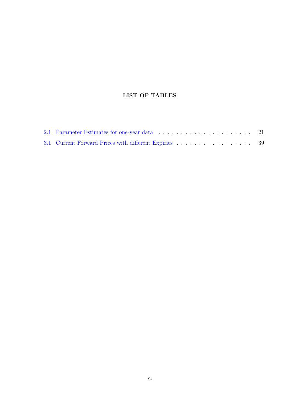## LIST OF TABLES

| 3.1 Current Forward Prices with different Expiries 39 |  |
|-------------------------------------------------------|--|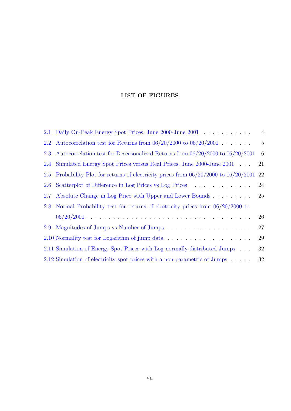## LIST OF FIGURES

|     | 2.1 Daily On-Peak Energy Spot Prices, June 2000-June 2001                               | $\overline{4}$  |
|-----|-----------------------------------------------------------------------------------------|-----------------|
| 2.2 | Autocorrelation test for Returns from $06/20/2000$ to $06/20/2001$                      | $5\phantom{.0}$ |
| 2.3 | Autocorrelation test for Deseasonalized Returns from $06/20/2000$ to $06/20/2001$       | 6               |
| 2.4 | Simulated Energy Spot Prices versus Real Prices, June 2000-June 2001                    | 21              |
| 2.5 | Probability Plot for returns of electricity prices from $06/20/2000$ to $06/20/2001$ 22 |                 |
| 2.6 | Scatterplot of Difference in Log Prices vs Log Prices                                   | 24              |
| 2.7 | Absolute Change in Log Price with Upper and Lower Bounds                                | 25              |
| 2.8 | Normal Probability test for returns of electricity prices from $06/20/2000$ to          |                 |
|     |                                                                                         | 26              |
| 2.9 |                                                                                         | 27              |
|     |                                                                                         | 29              |
|     | 2.11 Simulation of Energy Spot Prices with Log-normally distributed Jumps               | 32              |
|     | 2.12 Simulation of electricity spot prices with a non-parametric of Jumps               | 32              |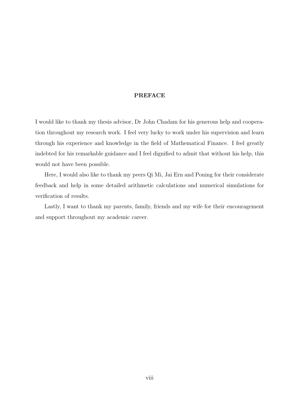#### PREFACE

<span id="page-7-0"></span>I would like to thank my thesis advisor, Dr John Chadam for his generous help and cooperation throughout my research work. I feel very lucky to work under his supervision and learn through his experience and knowledge in the field of Mathematical Finance. I feel greatly indebted for his remarkable guidance and I feel dignified to admit that without his help, this would not have been possible.

Here, I would also like to thank my peers Qi Mi, Jai Ern and Poning for their considerate feedback and help in some detailed arithmetic calculations and numerical simulations for verification of results.

Lastly, I want to thank my parents, family, friends and my wife for their encouragement and support throughout my academic career.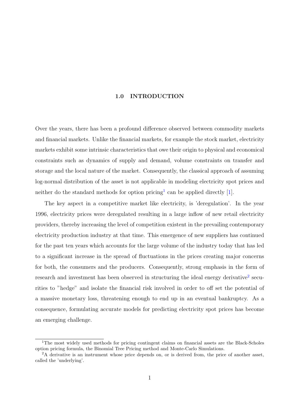#### 1.0 INTRODUCTION

<span id="page-8-0"></span>Over the years, there has been a profound difference observed between commodity markets and financial markets. Unlike the financial markets, for example the stock market, electricity markets exhibit some intrinsic characteristics that owe their origin to physical and economical constraints such as dynamics of supply and demand, volume constraints on transfer and storage and the local nature of the market. Consequently, the classical approach of assuming log-normal distribution of the asset is not applicable in modeling electricity spot prices and neither do the standard methods for option pricing<sup>1</sup> can be applied directly [1].

The key aspect in a competitive market like electricity, is 'deregulation'. In the year 1996, electricity prices were deregulated resulting in a large inflow of new r[eta](#page-47-0)il electricity providers, thereby increasing the level of competition existent in the prevailing contemporary electricity production industry at that time. This emergence of new suppliers has continued for the past ten years which accounts for the large volume of the industry today that has led to a significant increase in the spread of fluctuations in the prices creating major concerns for both, the consumers and the producers. Consequently, strong emphasis in the form of research and investment has been observed in structuring the ideal energy derivative<sup>2</sup> securities to "hedge" and isolate the financial risk involved in order to off set the potential of a massive monetary loss, threatening enough to end up in an eventual bankruptcy. As a consequence, formulating accurate models for predicting electricity spot prices has become an emerging challenge.

<sup>&</sup>lt;sup>1</sup>The most widely used methods for pricing contingent claims on financial assets are the Black-Scholes option pricing formula, the Binomial Tree Pricing method and Monte-Carlo Simulations.

<sup>&</sup>lt;sup>2</sup>A derivative is an instrument whose price depends on, or is derived from, the price of another asset, called the 'underlying'.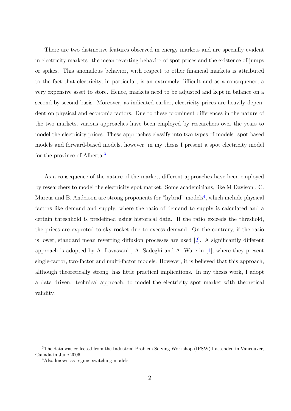There are two distinctive features observed in energy markets and are specially evident in electricity markets: the mean reverting behavior of spot prices and the existence of jumps or spikes. This anomalous behavior, with respect to other financial markets is attributed to the fact that electricity, in particular, is an extremely difficult and as a consequence, a very expensive asset to store. Hence, markets need to be adjusted and kept in balance on a second-by-second basis. Moreover, as indicated earlier, electricity prices are heavily dependent on physical and economic factors. Due to these prominent differences in the nature of the two markets, various approaches have been employed by researchers over the years to model the electricity prices. These approaches classify into two types of models: spot based models and forward-based models, however, in my thesis I present a spot electricity model for the province of Alberta.<sup>3</sup>.

As a consequence of the nature of the market, different approaches have been employed by researchers to model the electricity spot market. Some academicians, like M Davison , C. Marcus and B. Anderson are strong proponents for "hybrid" models<sup>4</sup>, which include physical factors like demand and supply, where the ratio of demand to supply is calculated and a certain threshhold is predefined using historical data. If the ratio exceeds the threshold, the prices are expected to sky rocket due to excess demand. On the contrary, if the ratio is lower, standard mean reverting diffusion processes are used [2]. A significantly different approach is adopted by A. Lavassani, A. Sadeghi and A. Ware in  $[1]$ , where they present single-factor, two-factor and multi-factor models. However, it is [be](#page-47-0)lieved that this approach, although theoretically strong, has little practical implications. In [my](#page-47-0) thesis work, I adopt a data driven: technical approach, to model the electricity spot market with theoretical validity.

<sup>&</sup>lt;sup>3</sup>The data was collected from the Industrial Problem Solving Workshop (IPSW) I attended in Vancouver, Canada in June 2006

<sup>&</sup>lt;sup>4</sup>Also known as regime switching models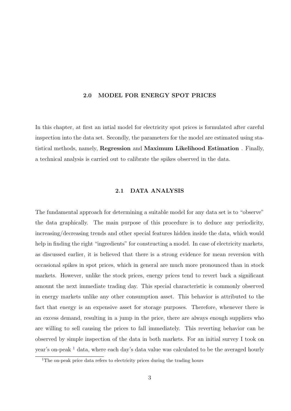#### 2.0 MODEL FOR ENERGY SPOT PRICES

<span id="page-10-0"></span>In this chapter, at first an intial model for electricity spot prices is formulated after careful inspection into the data set. Secondly, the parameters for the model are estimated using statistical methods, namely, Regression and Maximum Likelihood Estimation . Finally, a technical analysis is carried out to calibrate the spikes observed in the data.

#### 2.1 DATA ANALYSIS

The fundamental approach for determining a suitable model for any data set is to "observe" the data graphically. The main purpose of this procedure is to deduce any periodicity, increasing/decreasing trends and other special features hidden inside the data, which would help in finding the right "ingredients" for constructing a model. In case of electricity markets, as discussed earlier, it is believed that there is a strong evidence for mean reversion with occasional spikes in spot prices, which in general are much more pronounced than in stock markets. However, unlike the stock prices, energy prices tend to revert back a significant amount the next immediate trading day. This special characteristic is commonly observed in energy markets unlike any other consumption asset. This behavior is attributed to the fact that energy is an expensive asset for storage purposes. Therefore, whenever there is an excess demand, resulting in a jump in the price, there are always enough suppliers who are willing to sell causing the prices to fall immediately. This reverting behavior can be observed by simple inspection of the data in both markets. For an initial survey I took on year's on-peak  $<sup>1</sup>$  data, where each day's data value was calculated to be the averaged hourly</sup>

<sup>&</sup>lt;sup>1</sup>The on-peak price data refers to electricity prices during the trading hours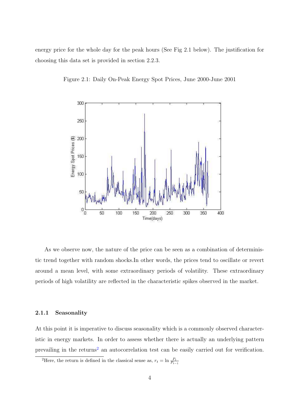<span id="page-11-0"></span>energy price for the whole day for the peak hours (See Fig 2.1 below). The justification for choosing this data set is provided in section 2.2.3.





As we observe now, the nature of the price can be seen as a combination of deterministic trend together with random shocks.In other words, the prices tend to oscillate or revert around a mean level, with some extraordinary periods of volatility. These extraordinary periods of high volatility are reflected in the characteristic spikes observed in the market.

#### 2.1.1 Seasonality

At this point it is imperative to discuss seasonality which is a commonly observed characteristic in energy markets. In order to assess whether there is actually an underlying pattern prevailing in the returns<sup>2</sup> an autocorrelation test can be easily carried out for verification.

<sup>2</sup>Here, the return is defined in the classical sense as,  $r_t = \ln \frac{P_t}{P_{t-1}}$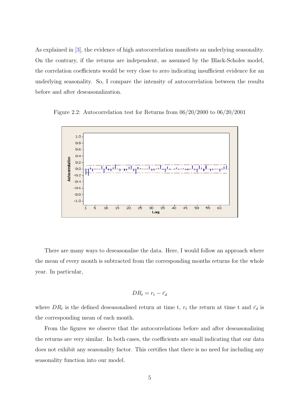<span id="page-12-0"></span>As explained in [3], the evidence of high autocorrelation manifests an underlying seasonality. On the contrary, if the returns are independent, as assumed by the Black-Scholes model, the correlation c[oe](#page-47-0)fficients would be very close to zero indicating insufficient evidence for an underlying seasonality. So, I compare the intensity of autocorrelation between the results before and after deseasonalization.



Figure 2.2: Autocorrelation test for Returns from 06/20/2000 to 06/20/2001

There are many ways to deseasonalise the data. Here, I would follow an approach where the mean of every month is subtracted from the corresponding months returns for the whole year. In particular,

$$
DR_t = r_t - \bar{r_d}
$$

where  $DR_t$  is the defined deseasonalised return at time t,  $r_t$  the return at time t and  $\bar{r_d}$  is the corresponding mean of each month.

From the figures we observe that the autocorrelations before and after deseasonalizing the returns are very similar. In both cases, the coefficients are small indicating that our data does not exhibit any seasonality factor. This certifies that there is no need for including any seasonality function into our model.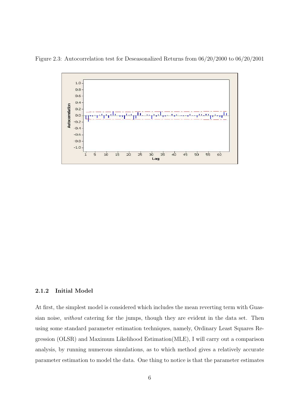<span id="page-13-0"></span>Figure 2.3: Autocorrelation test for Deseasonalized Returns from 06/20/2000 to 06/20/2001



#### 2.1.2 Initial Model

At first, the simplest model is considered which includes the mean reverting term with Guassian noise, without catering for the jumps, though they are evident in the data set. Then using some standard parameter estimation techniques, namely, Ordinary Least Squares Regression (OLSR) and Maximum Likelihood Estimation(MLE), I will carry out a comparison analysis, by running numerous simulations, as to which method gives a relatively accurate parameter estimation to model the data. One thing to notice is that the parameter estimates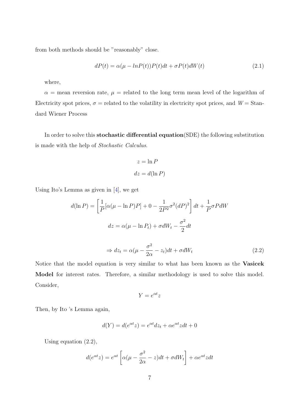from both methods should be "reasonably" close.

$$
dP(t) = \alpha(\mu - lnP(t))P(t)dt + \sigma P(t)dW(t)
$$
\n(2.1)

where,

 $\alpha$  = mean reversion rate,  $\mu$  = related to the long term mean level of the logarithm of Electricity spot prices,  $\sigma$  = related to the volatility in electricity spot prices, and  $W =$  Standard Wiener Process

In order to solve this stochastic differential equation(SDE) the following substitution is made with the help of Stochastic Calculus.

$$
z = \ln P
$$

$$
dz = d(\ln P)
$$

Using Ito's Lemma as given in [4], we get

$$
d(\ln P) = \left[\frac{1}{P}[\alpha(\mu - \ln P)P] + 0 - \frac{1}{2P^2}\sigma^2(dP)^2\right]dt + \frac{1}{P}\sigma PdW
$$

$$
dz = \alpha(\mu - \ln P_t) + \sigma dW_t - \frac{\sigma^2}{2}dt
$$

 $\frac{\partial}{\partial \alpha} - z_t \, dt + \sigma dW_t$  (2.2)

Notice that the model equation is very similar to what has been known as the Vasicek Model for interest rates. Therefore, a similar methodology is used to solve this model. Consider,

 $\Rightarrow dz_t = \alpha(\mu -$ 

$$
Y = e^{\alpha t} z
$$

Then, by Ito 's Lemma again,

$$
d(Y) = d(e^{\alpha t}z) = e^{\alpha t}dz_t + \alpha e^{\alpha t}zdt + 0
$$

Using equation (2.2),

$$
d(e^{\alpha t}z) = e^{\alpha t} \left[ \alpha(\mu - \frac{\sigma^2}{2\alpha} - z)dt + \sigma dW_t \right] + \alpha e^{\alpha t} z dt
$$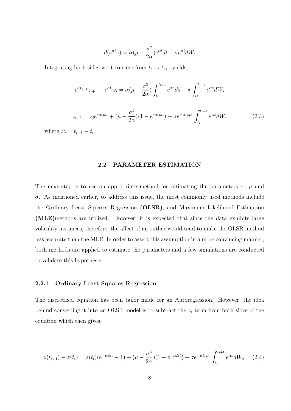$$
d(e^{\alpha t}z) = \alpha(\mu - \frac{\sigma^2}{2\alpha})e^{\alpha t}dt + \sigma e^{\alpha t}dW_t
$$

<span id="page-15-0"></span>Integrating both sides w.r.t to time from  $t_i \rightarrow t_{i+1}$  yields,

$$
e^{\alpha t_{i+1}}z_{i+1} - e^{\alpha t_{i}}z_{i} = \alpha(\mu - \frac{\sigma^{2}}{2\alpha}) \int_{t_{i}}^{t_{i+1}} e^{\alpha s} ds + \sigma \int_{t_{i}}^{t_{i+1}} e^{\alpha s} dW_{s}
$$
  

$$
z_{i+1} = z_{i}e^{-\alpha\Delta t} + (\mu - \frac{\sigma^{2}}{2\alpha})(1 - e^{-\alpha\Delta t}) + \sigma e^{-\alpha t_{i+1}} \int_{t_{i}}^{t_{i+1}} e^{\alpha s} dW_{s}
$$
(2.3)

where  $\Delta = t_{i+1} - t_i$ 

#### 2.2 PARAMETER ESTIMATION

The next step is to use an appropriate method for estimating the parameters  $\alpha$ ,  $\mu$  and  $\sigma$ . As mentioned earlier, to address this issue, the most commonly used methods include the Ordinary Least Squares Regression (OLSR), and Maximum Likelihood Estimation (MLE)methods are utilized. However, it is expected that since the data exhibits large volatility instances, therefore, the affect of an outlier would tend to make the OLSR method less accurate than the MLE. In order to assert this assumption in a more convincing manner, both methods are applied to estimate the parameters and a few simulations are conducted to validate this hypothesis.

#### 2.2.1 Ordinary Least Squares Regression

The discretized equation has been tailor made for an Autoregression. However, the idea behind converting it into an OLSR model is to subtract the  $z_i$  term from both sides of the equation which then gives,

$$
z(t_{i+1}) - z(t_i) = z(t_i)(e^{-\alpha \Delta t} - 1) + (\mu - \frac{\sigma^2}{2\alpha})(1 - e^{-\alpha \Delta t}) + \sigma e^{-\alpha t_{i+1}} \int_{t_i}^{t_{i+1}} e^{\alpha s} dW_s \tag{2.4}
$$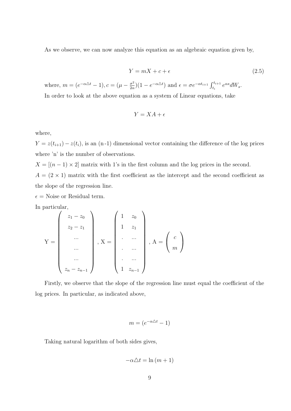As we observe, we can now analyze this equation as an algebraic equation given by,

$$
Y = mX + c + \epsilon \tag{2.5}
$$

where,  $m = (e^{-\alpha \Delta t} - 1), c = (\mu - \frac{\sigma^2}{2\alpha})$  $\frac{\sigma^2}{2\alpha}(1 - e^{-\alpha \Delta t})$  and  $\epsilon = \sigma e^{-\alpha t_{i+1}} \int_{t_i}^{t_{i+1}} e^{\alpha s} dW_s$ . In order to look at the above equation as a system of Linear equations, take

$$
Y = XA + \epsilon
$$

where,

 $Y = z(t_{i+1}) - z(t_i)$ , is an (n-1) dimensional vector containing the difference of the log prices where 'n' is the number of observations.

 $X = [(n-1) \times 2]$  matrix with 1's in the first column and the log prices in the second.  $A = (2 \times 1)$  matrix with the first coefficient as the intercept and the second coefficient as the slope of the regression line.

 $\epsilon$  = Noise or Residual term.

In particular,

$$
Y = \begin{pmatrix} z_1 - z_0 \\ z_2 - z_1 \\ \dots \\ \dots \\ \dots \\ z_n - z_{n-1} \end{pmatrix}, X = \begin{pmatrix} 1 & z_0 \\ 1 & z_1 \\ \dots \\ \dots \\ \dots \\ 1 & z_{n-1} \end{pmatrix}, A = \begin{pmatrix} c \\ m \end{pmatrix}
$$

Firstly, we observe that the slope of the regression line must equal the coefficient of the log prices. In particular, as indicated above,

$$
m = (e^{-\alpha \Delta t} - 1)
$$

Taking natural logarithm of both sides gives,

$$
-\alpha \Delta t = \ln(m+1)
$$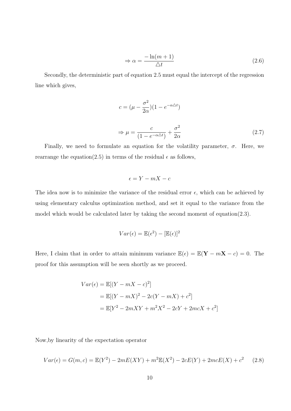$$
\Rightarrow \alpha = \frac{-\ln(m+1)}{\triangle t} \tag{2.6}
$$

Secondly, the deterministic part of equation 2.5 must equal the intercept of the regression line which gives,

$$
c = (\mu - \frac{\sigma^2}{2\alpha})(1 - e^{-\alpha \Delta t})
$$
  

$$
\Rightarrow \mu = \frac{c}{(1 - e^{-\alpha \Delta t})} + \frac{\sigma^2}{2\alpha}
$$
 (2.7)

Finally, we need to formulate an equation for the volatility parameter,  $\sigma$ . Here, we rearrange the equation(2.5) in terms of the residual  $\epsilon$  as follows,

$$
\epsilon = Y - mX - c
$$

The idea now is to minimize the variance of the residual error  $\epsilon$ , which can be achieved by using elementary calculus optimization method, and set it equal to the variance from the model which would be calculated later by taking the second moment of equation(2.3).

$$
Var(\epsilon) = \mathbb{E}(\epsilon^2) - [\mathbb{E}(\epsilon)]^2
$$

Here, I claim that in order to attain minimum variance  $\mathbb{E}(\epsilon) = \mathbb{E}(\mathbf{Y} - m\mathbf{X} - c) = 0$ . The proof for this assumption will be seen shortly as we proceed.

$$
Var(\epsilon) = \mathbb{E}[(Y - mX - c)^{2}]
$$
  
=  $\mathbb{E}[(Y - mX)^{2} - 2c(Y - mX) + c^{2}]$   
=  $\mathbb{E}[Y^{2} - 2mXY + m^{2}X^{2} - 2cY + 2mcX + c^{2}]$ 

Now,by linearity of the expectation operator

$$
Var(\epsilon) = G(m, c) = \mathbb{E}(Y^2) - 2mE(XY) + m^2 \mathbb{E}(X^2) - 2cE(Y) + 2mcE(X) + c^2 \tag{2.8}
$$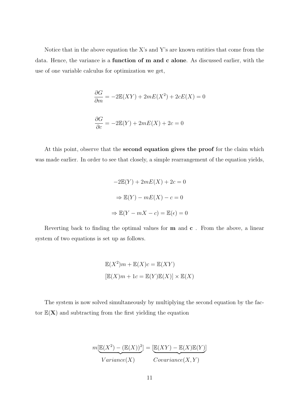Notice that in the above equation the X's and Y's are known entities that come from the data. Hence, the variance is a function of m and c alone. As discussed earlier, with the use of one variable calculus for optimization we get,

$$
\frac{\partial G}{\partial m} = -2\mathbb{E}(XY) + 2mE(X^2) + 2cE(X) = 0
$$
  

$$
\frac{\partial G}{\partial c} = -2\mathbb{E}(Y) + 2mE(X) + 2c = 0
$$

At this point, observe that the second equation gives the proof for the claim which was made earlier. In order to see that closely, a simple rearrangement of the equation yields,

$$
-2\mathbb{E}(Y) + 2mE(X) + 2c = 0
$$

$$
\Rightarrow \mathbb{E}(Y) - mE(X) - c = 0
$$

$$
\Rightarrow \mathbb{E}(Y - mX - c) = \mathbb{E}(\epsilon) = 0
$$

Reverting back to finding the optimal values for  $m$  and  $c$ . From the above, a linear system of two equations is set up as follows.

$$
\mathbb{E}(X^2)m + \mathbb{E}(X)c = \mathbb{E}(XY)
$$

$$
[\mathbb{E}(X)m + 1c = \mathbb{E}(Y)\mathbb{E}(X)] \times \mathbb{E}(X)
$$

The system is now solved simultaneously by multiplying the second equation by the factor  $E(X)$  and subtracting from the first yielding the equation

$$
m[\underbrace{\mathbb{E}(X^2) - (\mathbb{E}(X))^2}_{Variance(X)}] = [\underbrace{\mathbb{E}(XY) - \mathbb{E}(X)\mathbb{E}(Y)}_{Covariance(X, Y)}]
$$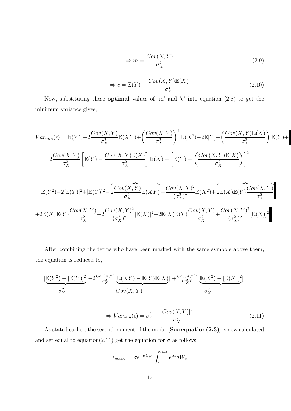$$
\Rightarrow m = \frac{Cov(X, Y)}{\sigma_X^2} \tag{2.9}
$$

$$
\Rightarrow c = \mathbb{E}(Y) - \frac{Cov(X, Y)\mathbb{E}(X)}{\sigma_X^2}
$$
\n(2.10)

Now, substituting these optimal values of 'm' and 'c' into equation (2.8) to get the minimum variance gives,

$$
Var_{min}(\epsilon) = \mathbb{E}(Y^2) - 2\frac{Cov(X,Y)}{\sigma_X^2} \mathbb{E}(XY) + \left(\frac{Cov(X,Y)}{\sigma_X^2}\right)^2 \mathbb{E}(X^2) - 2\mathbb{E}[Y] - \left(\frac{Cov(X,Y)\mathbb{E}(X)}{\sigma_X^2}\right)\mathbb{E}(Y) +
$$
  

$$
2\frac{Cov(X,Y)}{\sigma_X^2} \left[\mathbb{E}(Y) - \frac{Cov(X,Y)\mathbb{E}(X)}{\sigma_X^2}\right] \mathbb{E}(X) + \left[\mathbb{E}(Y) - \left(\frac{Cov(X,Y)\mathbb{E}(X)}{\sigma_X^2}\right)\right]^2
$$
  

$$
= \mathbb{E}(Y^2) - 2[\mathbb{E}(Y)]^2 + [\mathbb{E}(Y)]^2 - 2\frac{Cov(X,Y)}{\sigma_X^2} \mathbb{E}(XY) + \frac{Cov(X,Y)^2}{(\sigma_X^2)^2} \mathbb{E}(X^2) + 2\mathbb{E}(X)\mathbb{E}(Y)\frac{Cov(X,Y)}{\sigma_X^2}
$$
  

$$
+ 2\mathbb{E}(X)\mathbb{E}(Y)\frac{Cov(X,Y)}{\sigma_X^2} - 2\frac{Cov(X,Y)^2}{(\sigma_X^2)^2} [\mathbb{E}(X)]^2 - 2\mathbb{E}(X)\mathbb{E}(Y)\frac{Cov(X,Y)}{\sigma_X^2} + \frac{Cov(X,Y)^2}{(\sigma_X^2)^2} [\mathbb{E}(X)]^2
$$

After combining the terms who have been marked with the same symbols above them, the equation is reduced to,

$$
= \underbrace{[\mathbb{E}(Y^2) - [\mathbb{E}(Y)]^2}_{\sigma_Y^2} - 2 \frac{Cov(X,Y)}{\sigma_X^2} [\mathbb{E}(XY) - \mathbb{E}(Y)\mathbb{E}(X)] + \frac{Cov(X,Y)^2}{(\sigma_X^2)^2} [\mathbb{E}(X^2) - [\mathbb{E}(X)]^2]}_{\sigma_X^2}
$$

$$
\Rightarrow Var_{min}(\epsilon) = \sigma_Y^2 - \frac{[Cov(X, Y)]^2}{\sigma_X^2}
$$
\n(2.11)

As stated earlier, the second moment of the model [See equation(2.3)] is now calculated and set equal to equation(2.11) get the equation for  $\sigma$  as follows.

$$
\epsilon_{model} = \sigma e^{-\alpha t_{i+1}} \int_{t_i}^{t_{i+1}} e^{\alpha s} dW_s
$$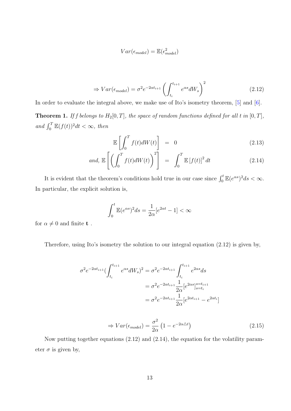$$
Var(\epsilon_{model}) = \mathbb{E}(\epsilon_{model}^2)
$$

$$
\Rightarrow Var(\epsilon_{model}) = \sigma^2 e^{-2\alpha t_{i+1}} \left( \int_{t_i}^{t_{i+1}} e^{\alpha s} dW_s \right)^2 \tag{2.12}
$$

In order to evaluate the integral above, we make use of Ito's isometry theorem,  $[5]$  and  $[6]$ .

**Theorem 1.** If f belongs to  $H_2[0,T]$ , the space of random functions defined for all t in  $[0,T]$ , and  $\int_0^T \mathbb{E}(f(t))^2 dt < \infty$ , then

$$
\mathbb{E}\left[\int_0^T f(t)dW(t)\right] = 0 \tag{2.13}
$$

and, 
$$
\mathbb{E}\left[\left(\int_0^T f(t)dW(t)\right)^2\right] = \int_0^T \mathbb{E}\left[f(t)\right]^2 dt \qquad (2.14)
$$

It is evident that the theorem's conditions hold true in our case since  $\int_0^t \mathbb{E}(e^{\alpha s})^2 ds < \infty$ . In particular, the explicit solution is,

$$
\int_0^t \mathbb{E}(e^{\alpha s})^2 ds = \frac{1}{2\alpha} [e^{2\alpha t} - 1] < \infty
$$

for  $\alpha \neq 0$  and finite  ${\bf t}$  .

Therefore, using Ito's isometry the solution to our integral equation (2.12) is given by,

$$
\sigma^{2} e^{-2\alpha t_{i+1}} \left( \int_{t_{i}}^{t_{i+1}} e^{\alpha s} dW_{s} \right)^{2} = \sigma^{2} e^{-2\alpha t_{i+1}} \int_{t_{i}}^{t_{i+1}} e^{2\alpha s} ds
$$

$$
= \sigma^{2} e^{-2\alpha t_{i+1}} \frac{1}{2\alpha} [e^{2\alpha s}]_{s=t_{i}}^{s=t_{i+1}}
$$

$$
= \sigma^{2} e^{-2\alpha t_{i+1}} \frac{1}{2\alpha} [e^{2\alpha t_{i+1}} - e^{2\alpha t_{i}}]
$$

$$
\Rightarrow Var(\epsilon_{model}) = \frac{\sigma^2}{2\alpha} \left( 1 - e^{-2\alpha \Delta t} \right) \tag{2.15}
$$

Now putting together equations (2.12) and (2.14), the equation for the volatility parameter  $\sigma$  is given by,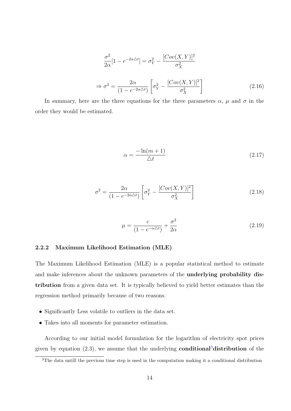$$
\frac{\sigma^2}{2\alpha}[1 - e^{-2\alpha \Delta t}] = \sigma_Y^2 - \frac{[Cov(X, Y)]^2}{\sigma_X^2}
$$

$$
\Rightarrow \sigma^2 = \frac{2\alpha}{(1 - e^{-2\alpha \Delta t})} \left[\sigma_Y^2 - \frac{[Cov(X, Y)]^2}{\sigma_X^2}\right]
$$
(2.16)

<span id="page-21-0"></span>In summary, here are the three equations for the three parameters  $\alpha$ ,  $\mu$  and  $\sigma$  in the order they would be estimated.

$$
\alpha = \frac{-\ln(m+1)}{\triangle t} \tag{2.17}
$$

$$
\sigma^2 = \frac{2\alpha}{(1 - e^{-2\alpha\Delta t})} \left[ \sigma_Y^2 - \frac{[Cov(X, Y)]^2}{\sigma_X^2} \right]
$$
\n(2.18)

$$
\mu = \frac{c}{(1 - e^{-\alpha \Delta t})} + \frac{\sigma^2}{2\alpha} \tag{2.19}
$$

#### 2.2.2 Maximum Likelihood Estimation (MLE)

The Maximum Likelihood Estimation (MLE) is a popular statistical method to estimate and make inferences about the unknown parameters of the underlying probability distribution from a given data set. It is typically believed to yield better estimates than the regression method primarily because of two reasons.

- Significantly Less volatile to outliers in the data set.
- Takes into all moments for parameter estimation.

According to our initial model formulation for the logarithm of electricity spot prices given by equation  $(2.3)$ , we assume that the underlying **conditional**<sup>3</sup> distribution of the

<sup>3</sup>The data untill the previous time step is used in the computation making it a conditional distribution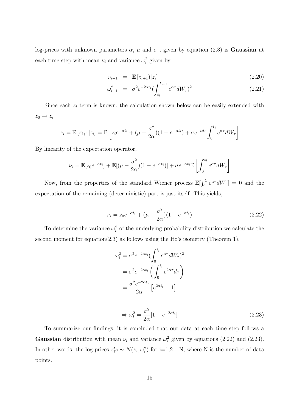log-prices with unknown parameters  $\alpha$ ,  $\mu$  and  $\sigma$ , given by equation (2.3) is **Gaussian** at each time step with mean  $\nu_i$  and variance  $\omega_i^2$  given by,

$$
\nu_{i+1} = \mathbb{E}\left[z_{i+1}\right]|z_i] \tag{2.20}
$$

$$
\omega_{i+1}^2 = \sigma^2 e^{-2\alpha t_i} \left( \int_{t_i}^{t_{i+1}} e^{\alpha \tau} dW_\tau \right)^2 \tag{2.21}
$$

Since each  $z_i$  term is known, the calculation shown below can be easily extended with  $z_0 \rightarrow z_i$ 

$$
\nu_i = \mathbb{E}\left[z_{i+1}|z_i\right] = \mathbb{E}\left[z_i e^{-\alpha t_i} + (\mu - \frac{\sigma^2}{2\alpha})(1 - e^{-\alpha t_i}) + \sigma e^{-\alpha t_i}\int_0^{t_i} e^{\alpha \tau} dW_\tau\right]
$$

By linearity of the expectation operator,

$$
\nu_i = \mathbb{E}[z_0 e^{-\alpha t_i}] + \mathbb{E}[(\mu - \frac{\sigma^2}{2\alpha})(1 - e^{-\alpha t_i})] + \sigma e^{-\alpha t_i} \mathbb{E}\left[\int_0^{t_i} e^{\alpha \tau} dW_\tau\right]
$$

Now, from the properties of the standard Wiener process  $\mathbb{E}[\int_0^{t_i}$  $e^{at_i}e^{\alpha\tau}dW_{\tau}]=0$  and the expectation of the remaining (deterministic) part is just itself. This yields,

$$
\nu_i = z_0 e^{-\alpha t_i} + (\mu - \frac{\sigma^2}{2\alpha})(1 - e^{-\alpha t_i})
$$
\n(2.22)

To determine the variance  $\omega_i^2$  of the underlying probability distribution we calculate the second moment for equation(2.3) as follows using the Ito's isometry (Theorem 1).

$$
\omega_i^2 = \sigma^2 e^{-2\alpha t_i} \left( \int_0^{t_i} e^{\alpha \tau} dW_\tau \right)^2
$$

$$
= \sigma^2 e^{-2\alpha t_i} \left( \int_0^{t_i} e^{2\alpha \tau} d\tau \right)
$$

$$
= \frac{\sigma^2 e^{-2\alpha t_i}}{2\alpha} \left[ e^{2\alpha t_i} - 1 \right]
$$

$$
\Rightarrow \omega_i^2 = \frac{\sigma^2}{2\alpha} [1 - e^{-2\alpha t_i}]
$$
\n(2.23)

To summarize our findings, it is concluded that our data at each time step follows a Gaussian distribution with mean  $\nu_i$  and variance  $\omega_i^2$  given by equations (2.22) and (2.23). In other words, the log-prices  $z_i$ 's ~  $N(\nu_i, \omega_i^2)$  for i=1,2....N, where N is the number of data points.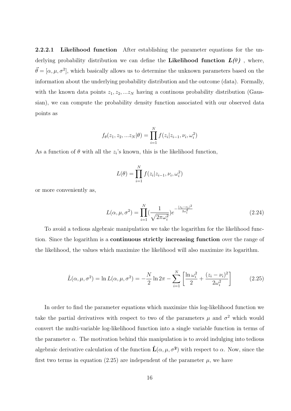<span id="page-23-0"></span>2.2.2.1 Likelihood function After establishing the parameter equations for the underlying probability distribution we can define the Likelihood function  $L(\theta)$ , where,  $\vec{\theta} = [\alpha, \mu, \sigma^2]$ , which basically allows us to determine the unknown parameters based on the information about the underlying probability distribution and the outcome (data). Formally, with the known data points  $z_1, z_2, ... z_N$  having a continous probability distribution (Gaussian), we can compute the probability density function associated with our observed data points as

$$
f_{\theta}(z_1, z_2, ... z_N | \theta) = \prod_{i=1}^N f(z_i | z_{i-1}, \nu_i, \omega_i^2)
$$

As a function of  $\theta$  with all the  $z_i$ 's known, this is the likelihood function,

$$
L(\theta) = \prod_{i=1}^{N} f(z_i | z_{i-1}, \nu_i, \omega_i^2)
$$

or more conveniently as,

$$
L(\alpha, \mu, \sigma^2) = \prod_{i=1}^{N} \left(\frac{1}{\sqrt{2\pi\omega_i^2}}\right) e^{-\frac{(z_i - \nu_i)^2}{2\omega_i^2}}
$$
(2.24)

To avoid a tedious algebraic manipulation we take the logarithm for the likelihood function. Since the logarithm is a continuous strictly increasing function over the range of the likelihood, the values which maximize the likelihood will also maximize its logarithm.

$$
\hat{L}(\alpha, \mu, \sigma^2) = \ln L(\alpha, \mu, \sigma^2) = -\frac{N}{2} \ln 2\pi - \sum_{i=1}^{N} \left[ \frac{\ln \omega_i^2}{2} + \frac{(z_i - \nu_i)^2}{2\omega_i^2} \right]
$$
(2.25)

In order to find the parameter equations which maximize this log-likelihood function we take the partial derivatives with respect to two of the parameters  $\mu$  and  $\sigma^2$  which would convert the multi-variable log-likelihood function into a single variable function in terms of the parameter  $\alpha$ . The motivation behind this manipulation is to avoid indulging into tedious algebraic derivative calculation of the function  $\hat{\mathbf{L}}(\alpha,\mu,\sigma^2)$  with respect to  $\alpha$ . Now, since the first two terms in equation (2.25) are independent of the parameter  $\mu$ , we have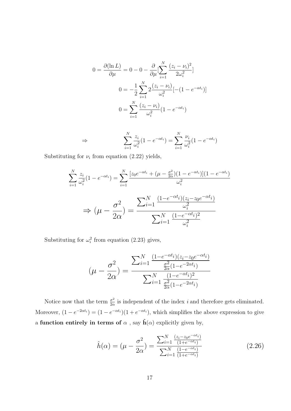$$
0 = \frac{\partial(\ln L)}{\partial \mu} = 0 - 0 - \frac{\partial}{\partial \mu} \left[ \sum_{i=1}^{N} \frac{(z_i - \nu_i)^2}{2\omega_i^2} \right]
$$

$$
0 = -\frac{1}{2} \sum_{i=1}^{N} 2 \frac{(z_i - \nu_i)}{\omega_i^2} \left[ -(1 - e^{-\alpha t_i}) \right]
$$

$$
0 = \sum_{i=1}^{N} \frac{(z_i - \nu_i)}{\omega_i^2} (1 - e^{-\alpha t_i})
$$

$$
\Rightarrow \qquad \sum_{i=1}^{N} \frac{z_i}{\omega_i^2} (1 - e^{-\alpha t_i}) = \sum_{i=1}^{N} \frac{\nu_i}{\omega_i^2} (1 - e^{-\alpha t_i})
$$

Substituting for  $\nu_i$  from equation (2.22) yields,

$$
\sum_{i=1}^{N} \frac{z_i}{\omega_i^2} (1 - e^{-\alpha t_i}) = \sum_{i=1}^{N} \frac{[z_0 e^{-\alpha t_i} + (\mu - \frac{\sigma^2}{2\alpha})(1 - e^{-\alpha t_i})](1 - e^{-\alpha t_i})}{\omega_i^2}
$$

$$
\Rightarrow (\mu - \frac{\sigma^2}{2\alpha}) = \frac{\sum_{i=1}^{N} \frac{(1 - e^{-\alpha t_i})(z_i - z_0 e^{-\alpha t_i})}{\omega_i^2}}{\sum_{i=1}^{N} \frac{(1 - e^{-\alpha t_i})^2}{\omega_i^2}}
$$

Substituting for  $\omega_i^2$  from equation (2.23) gives,

$$
(\mu - \frac{\sigma^2}{2\alpha}) = \frac{\sum_{i=1}^{N} \frac{(1 - e^{-\alpha t_i})(z_i - z_0 e^{-\alpha t_i})}{\frac{\sigma^2}{2\alpha}(1 - e^{-2\alpha t_i})}}{\sum_{i=1}^{N} \frac{(1 - e^{-\alpha t_i})^2}{\frac{\sigma^2}{2\alpha}(1 - e^{-2\alpha t_i})}}
$$

Notice now that the term  $\frac{\sigma^2}{2g}$  $\frac{\sigma^2}{2\alpha}$  is independent of the index *i* and therefore gets eliminated. Moreover,  $(1 - e^{-2\alpha t_i}) = (1 - e^{-\alpha t_i})(1 + e^{-\alpha t_i})$ , which simplifies the above expression to give a function entirely in terms of  $\alpha$  , say  $\hat{\mathbf{h}}(\alpha)$  explicitly given by,

$$
\hat{h}(\alpha) = (\mu - \frac{\sigma^2}{2\alpha}) = \frac{\sum_{i=1}^{N} \frac{(z_i - z_0 e^{-\alpha t_i})}{(1 + e^{-\alpha t_i})}}{\sum_{i=1}^{N} \frac{(1 - e^{-\alpha t_i})}{(1 + e^{-\alpha t_i})}}
$$
(2.26)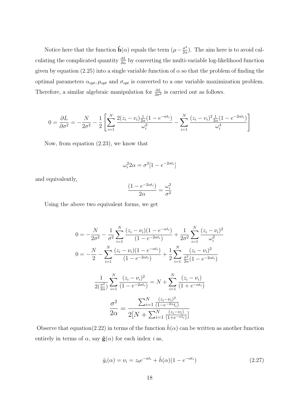Notice here that the function  $\hat{\mathbf{h}}(\alpha)$  equals the term  $(\mu - \frac{\sigma^2}{2\alpha})$  $\frac{\sigma^2}{2\alpha}$ ). The aim here is to avoid calculating the complicated quantity  $\frac{\partial L}{\partial \alpha}$  by converting the multi-variable log-likelihood function given by equation (2.25) into a single variable function of  $\alpha$  so that the problem of finding the optimal parameters  $\alpha_{opt}$ ,  $\mu_{opt}$  and  $\sigma_{opt}$  is converted to a one variable maximization problem. Therefore, a similar algebraic manipulation for  $\frac{\partial L}{\partial \sigma^2}$  is carried out as follows.

$$
0 = \frac{\partial L}{\partial \sigma^2} = -\frac{N}{2\sigma^2} - \frac{1}{2} \left[ \sum_{i=1}^N \frac{2(z_i - v_i) \frac{1}{2\alpha} (1 - e^{-\alpha t_i})}{\omega_i^2} - \sum_{i=1}^N \frac{(z_i - v_i)^2 \frac{1}{2\alpha} (1 - e^{-2\alpha t_i})}{\omega_i^4} \right]
$$

Now, from equation (2.23), we know that

$$
\omega_i^2 2\alpha = \sigma^2 [1 - e^{-2\alpha t_i}]
$$

and equivalently,

$$
\frac{(1 - e^{-2\alpha t_i})}{2\alpha} = \frac{\omega_i^2}{\sigma^2}
$$

Using the above two equivalent forms, we get

$$
0 = -\frac{N}{2\sigma^2} - \frac{1}{\sigma^2} \sum_{i=1}^N \frac{(z_i - \nu_i)(1 - e^{-\alpha t_i})}{(1 - e^{-2\alpha t_i})} + \frac{1}{2\sigma^2} \sum_{i=1}^N \frac{(z_i - \nu_i)^2}{\omega_i^2}
$$
  
\n
$$
0 = -\frac{N}{2} - \sum_{i=1}^N \frac{(z_i - \nu_i)(1 - e^{-\alpha t_i})}{(1 - e^{-2\alpha t_i})} + \frac{1}{2} \sum_{i=1}^N \frac{(z_i - \nu_i)^2}{\frac{\sigma^2}{2\alpha}(1 - e^{-2\alpha t_i})}
$$
  
\n
$$
\frac{1}{2(\frac{\sigma^2}{2\alpha})} \sum_{i=1}^N \frac{(z_i - \nu_i)^2}{(1 - e^{-2\alpha t_i})} = N + \sum_{i=1}^N \frac{(z_i - \nu_i)}{(1 + e^{-\alpha t_i})}
$$
  
\n
$$
\frac{\sigma^2}{2\alpha} = \frac{\sum_{i=1}^N \frac{(z_i - \nu_i)^2}{(1 - e^{-2\alpha t_i})}}{2[N + \sum_{i=1}^N \frac{(z_i - \nu_i)}{(1 + e^{-\alpha t_i})}]}
$$

Observe that equation(2.22) in terms of the function  $\hat{h}(\alpha)$  can be written as another function entirely in terms of  $\alpha$ , say  $\hat{\mathbf{g}}(\alpha)$  for each index *i* as,

$$
\hat{g}_i(\alpha) = \nu_i = z_0 e^{-\alpha t_i} + \hat{h}(\alpha)(1 - e^{-\alpha t_i})
$$
\n(2.27)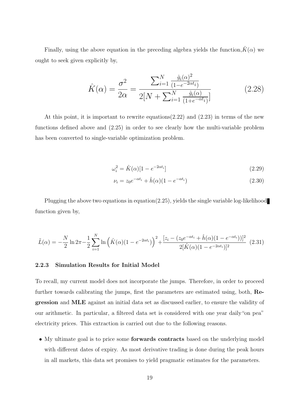<span id="page-26-0"></span>Finally, using the above equation in the preceding algebra yields the function,  $\hat{K}(\alpha)$  we ought to seek given explicitly by,

$$
\hat{K}(\alpha) = \frac{\sigma^2}{2\alpha} = \frac{\sum_{i=1}^{N} \frac{\hat{g}_i(\alpha)^2}{(1 - e^{-2\alpha t_i})}}{2[N + \sum_{i=1}^{N} \frac{\hat{g}_i(\alpha)}{(1 + e^{-\alpha t_i})}]}
$$
(2.28)

At this point, it is important to rewrite equations(2.22) and (2.23) in terms of the new functions defined above and (2.25) in order to see clearly how the multi-variable problem has been converted to single-variable optimization problem.

$$
\omega_i^2 = \hat{K}(\alpha)[1 - e^{-2\alpha t_i}] \tag{2.29}
$$

$$
\nu_i = z_0 e^{-\alpha t_i} + \hat{h}(\alpha)(1 - e^{-\alpha t_i})
$$
\n(2.30)

Plugging the above two equations in equation $(2.25)$ , yields the single variable log-likelihood function given by,

$$
\tilde{L}(\alpha) = -\frac{N}{2} \ln 2\pi - \frac{1}{2} \sum_{i=1}^{N} \ln \left( \hat{K}(\alpha)(1 - e^{-2\alpha t_i}) \right)^2 + \frac{[z_i - (z_0 e^{-\alpha t_i} + \hat{h}(\alpha)(1 - e^{-\alpha t_i}))]^2}{2[\hat{K}(\alpha)(1 - e^{-2\alpha t_i})]^2} (2.31)
$$

#### 2.2.3 Simulation Results for Initial Model

To recall, my current model does not incorporate the jumps. Therefore, in order to proceed further towards calibrating the jumps, first the parameters are estimated using, both, Regression and MLE against an initial data set as discussed earlier, to ensure the validity of our arithmetic. In particular, a filtered data set is considered with one year daily"on pea" electricity prices. This extraction is carried out due to the following reasons.

• My ultimate goal is to price some **forwards contracts** based on the underlying model with different dates of expiry. As most derivative trading is done during the peak hours in all markets, this data set promises to yield pragmatic estimates for the parameters.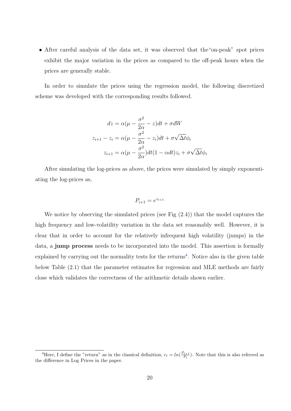• After careful analysis of the data set, it was observed that the"on-peak" spot prices exhibit the major variation in the prices as compared to the off-peak hours when the prices are generally stable.

In order to simulate the prices using the regression model, the following discretized scheme was developed with the corresponding results followed.

$$
dz = \alpha(\mu - \frac{\sigma^2}{2\alpha} - z)dt + \sigma dW
$$

$$
z_{i+1} - z_i = \alpha(\mu - \frac{\sigma^2}{2\alpha} - z_i)dt + \sigma\sqrt{\Delta t}\phi_i
$$

$$
z_{i+1} = \alpha(\mu - \frac{\sigma^2}{2\alpha})dt(1 - \alpha dt)z_i + \sigma\sqrt{\Delta t}\phi_i
$$

After simulating the log-prices as above, the prices were simulated by simply exponentiating the log-prices as,

$$
P_{i+1} = e^{z_{i+1}}
$$

We notice by observing the simulated prices (see Fig  $(2.4)$ ) that the model captures the high frequency and low-volatility variation in the data set reasonably well. However, it is clear that in order to account for the relatively infrequent high volatility (jumps) in the data, a jump process needs to be incorporated into the model. This assertion is formally explained by carrying out the normality tests for the returns<sup>4</sup>. Notice also in the given table below Table (2.1) that the parameter estimates for regression and MLE methods are fairly close which validates the correctness of the arithmetic details shown earlier.

<sup>&</sup>lt;sup>4</sup>Here, I define the "return" as in the classical definition;  $r_t = ln(\frac{P_{t+1}}{P_t})$  $\frac{t_{t+1}}{P_t}$ ). Note that this is also referred as the difference in Log Prices in the paper.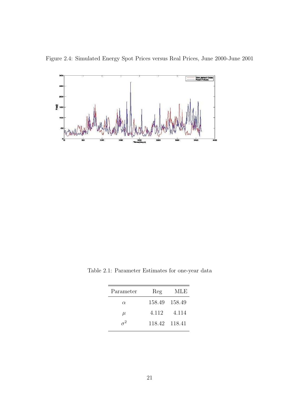<span id="page-28-0"></span>Figure 2.4: Simulated Energy Spot Prices versus Real Prices, June 2000-June 2001



Table 2.1: Parameter Estimates for one-year data

| Parameter | Reg           | MLE   |
|-----------|---------------|-------|
| $\alpha$  | 158.49 158.49 |       |
| $\mu$     | 4.112         | 4.114 |
| $\tau^2$  | 118.42 118.41 |       |
|           |               |       |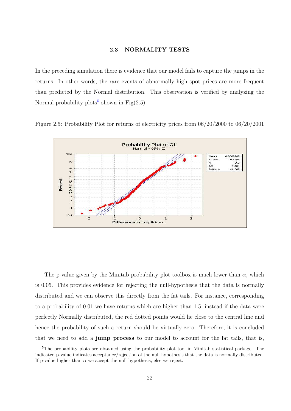#### 2.3 NORMALITY TESTS

<span id="page-29-0"></span>In the preceding simulation there is evidence that our model fails to capture the jumps in the returns. In other words, the rare events of abnormally high spot prices are more frequent than predicted by the Normal distribution. This observation is verified by analyzing the Normal probability plots<sup>5</sup> shown in Fig $(2.5)$ .



Figure 2.5: Probability Plot for returns of electricity prices from 06/20/2000 to 06/20/2001

The p-value given by the Minitab probability plot toolbox is much lower than  $\alpha$ , which is 0.05. This provides evidence for rejecting the null-hypothesis that the data is normally distributed and we can observe this directly from the fat tails. For instance, corresponding to a probability of 0.01 we have returns which are higher than 1.5; instead if the data were perfectly Normally distributed, the red dotted points would lie close to the central line and hence the probability of such a return should be virtually zero. Therefore, it is concluded that we need to add a jump process to our model to account for the fat tails, that is,

<sup>5</sup>The probability plots are obtained using the probability plot tool in Minitab statistical package. The indicated p-value indicates acceptance/rejection of the null hypothesis that the data is normally distributed. If p-value higher than  $\alpha$  we accept the null hypothesis, else we reject.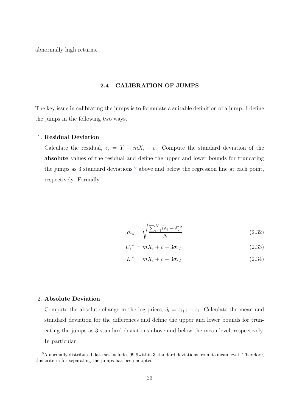<span id="page-30-0"></span>abnormally high returns.

#### 2.4 CALIBRATION OF JUMPS

The key issue in calibrating the jumps is to formulate a suitable definition of a jump. I define the jumps in the following two ways.

#### 1. Residual Deviation

Calculate the residual,  $\epsilon_i = Y_i - mX_i - c$ . Compute the standard deviation of the absolute values of the residual and define the upper and lower bounds for truncating the jumps as 3 standard deviations  $6$  above and below the regression line at each point, respectively. Formally,

$$
\sigma_{rd} = \sqrt{\frac{\sum_{i=1}^{N} (\epsilon_i - \bar{\epsilon})^2}{N}}
$$
\n(2.32)

$$
U_i^{rd} = mX_i + c + 3\sigma_{rd}
$$
\n
$$
(2.33)
$$

$$
L_i^{rd} = mX_i + c - 3\sigma_{rd}
$$
\n
$$
(2.34)
$$

#### 2. Absolute Deviation

Compute the absolute change in the log-prices,  $\delta_i = z_{i+1} - z_i$ . Calculate the mean and standard deviation for the differences and define the upper and lower bounds for truncating the jumps as 3 standard deviations above and below the mean level, respectively. In particular,

<sup>6</sup>A normally distributed data set includes 99.9within 3 standard deviations from its mean level. Therefore, this criteria for separating the jumps has been adopted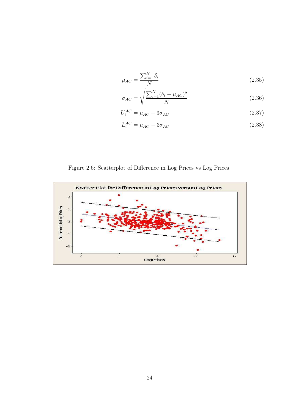<span id="page-31-0"></span>
$$
\mu_{AC} = \frac{\sum_{i=1}^{N} \delta_i}{N} \tag{2.35}
$$

$$
\sigma_{AC} = \sqrt{\frac{\sum_{i=1}^{N} (\delta_i - \mu_{AC})^2}{N}}
$$
(2.36)

$$
U_i^{AC} = \mu_{AC} + 3\sigma_{AC} \tag{2.37}
$$

$$
L_i^{AC} = \mu_{AC} - 3\sigma_{AC} \tag{2.38}
$$

Figure 2.6: Scatterplot of Difference in Log Prices vs Log Prices

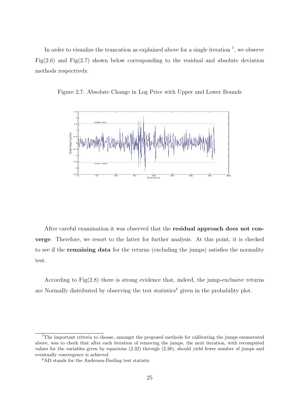<span id="page-32-0"></span>In order to visualize the truncation as explained above for a single iteration  $<sup>7</sup>$ , we observe</sup> Fig $(2.6)$  and Fig $(2.7)$  shown below corresponding to the residual and absolute deviation methods respectively.



Figure 2.7: Absolute Change in Log Price with Upper and Lower Bounds

After careful examination it was observed that the residual approach does not converge. Therefore, we resort to the latter for further analysis. At this point, it is checked to see if the remaining data for the returns (excluding the jumps) satisfies the normality test.

According to Fig(2.8) there is strong evidence that, indeed, the jump-exclusive returns are Normally distributed by observing the test statistics<sup>8</sup> given in the probability plot.

<sup>7</sup>The important criteria to choose, amongst the proposed methods for calibrating the jumps enumerated above, was to check that after each iteration of removing the jumps, the next iteration, with recomputed values for the variables given by equations (2.32) through (2.38), should yield fewer number of jumps and eventually convergence is achieved.

<sup>8</sup>AD stands for the Anderson-Darling test statistic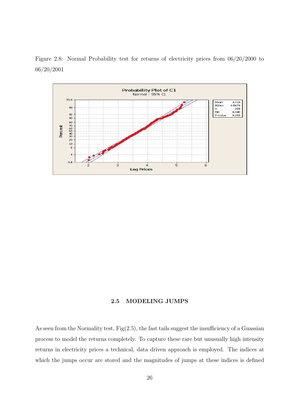<span id="page-33-0"></span>Figure 2.8: Normal Probability test for returns of electricity prices from 06/20/2000 to 06/20/2001



#### 2.5 MODELING JUMPS

As seen from the Normality test, Fig(2.5), the fast tails suggest the insufficiency of a Guassian process to model the returns completely. To capture these rare but unusually high intensity returns in electricity prices a technical, data driven approach is employed. The indices at which the jumps occur are stored and the magnitudes of jumps at these indices is defined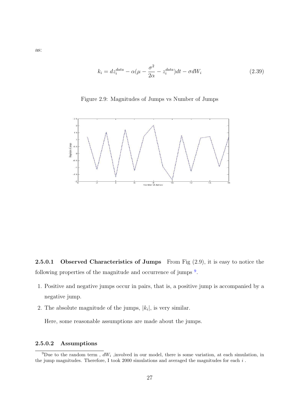<span id="page-34-0"></span>
$$
k_i = dz_i^{data} - \alpha(\mu - \frac{\sigma^2}{2\alpha} - z_i^{data})dt - \sigma dW_i
$$
\n(2.39)



Figure 2.9: Magnitudes of Jumps vs Number of Jumps

**2.5.0.1** Observed Characteristics of Jumps From Fig  $(2.9)$ , it is easy to notice the following properties of the magnitude and occurrence of jumps <sup>9</sup>.

- 1. Positive and negative jumps occur in pairs, that is, a positive jump is accompanied by a negative jump.
- 2. The absolute magnitude of the jumps,  $|k_i|$ , is very similar.

Here, some reasonable assumptions are made about the jumps.

#### 2.5.0.2 Assumptions

<sup>&</sup>lt;sup>9</sup>Due to the random term,  $dW_i$ , involved in our model, there is some variation, at each simulation, in the jump magnitudes. Therefore, I took 2000 simulations and averaged the magnitudes for each  $i$ .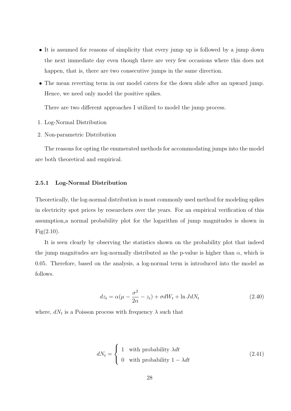- <span id="page-35-0"></span>• It is assumed for reasons of simplicity that every jump up is followed by a jump down the next immediate day even though there are very few occasions where this does not happen, that is, there are two consecutive jumps in the same direction.
- The mean reverting term in our model caters for the down slide after an upward jump. Hence, we need only model the positive spikes.

There are two different approaches I utilized to model the jump process.

- 1. Log-Normal Distribution
- 2. Non-parametric Distribution

The reasons for opting the enumerated methods for accommodating jumps into the model are both theoretical and empirical.

#### 2.5.1 Log-Normal Distribution

Theoretically, the log-normal distribution is most commonly used method for modeling spikes in electricity spot prices by researchers over the years. For an empirical verification of this assumption,a normal probability plot for the logarithm of jump magnitudes is shown in  $Fig(2.10)$ .

It is seen clearly by observing the statistics shown on the probability plot that indeed the jump magnitudes are log-normally distributed as the p-value is higher than  $\alpha$ , which is 0.05. Therefore, based on the analysis, a log-normal term is introduced into the model as follows.

$$
dz_t = \alpha(\mu - \frac{\sigma^2}{2\alpha} - z_t) + \sigma dW_t + \ln J dN_t
$$
\n(2.40)

where,  $dN_t$  is a Poisson process with frequency  $\lambda$  such that

$$
dN_t = \begin{cases} 1 & \text{with probability } \lambda dt \\ 0 & \text{with probability } 1 - \lambda dt \end{cases}
$$
 (2.41)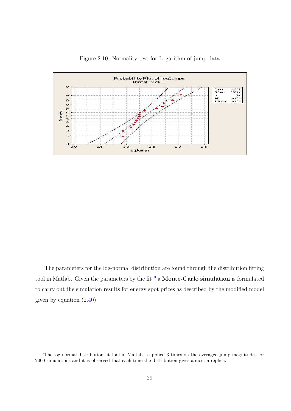<span id="page-36-0"></span>

Figure 2.10: Normality test for Logarithm of jump data

The parameters for the log-normal distribution are found through the distribution fitting tool in Matlab. Given the parameters by the  $fit^{10}$  a **Monte-Carlo simulation** is formulated to carry out the simulation results for energy spot prices as described by the modified model given by equation  $(2.40)$ .

<sup>&</sup>lt;sup>10</sup>The log-normal distribution fit tool in Matlab is applied 3 times on the averaged jump magnitudes for 2000 simulations and it is observed that each time the distribution gives almost a replica.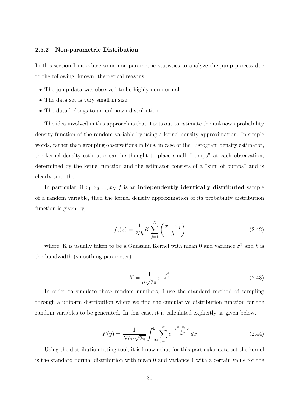#### <span id="page-37-0"></span>2.5.2 Non-parametric Distribution

In this section I introduce some non-parametric statistics to analyze the jump process due to the following, known, theoretical reasons.

- The jump data was observed to be highly non-normal.
- The data set is very small in size.
- The data belongs to an unknown distribution.

The idea involved in this approach is that it sets out to estimate the unknown probability density function of the random variable by using a kernel density approximation. In simple words, rather than grouping observations in bins, in case of the Histogram density estimator, the kernel density estimator can be thought to place small "bumps" at each observation, determined by the kernel function and the estimator consists of a "sum of bumps" and is clearly smoother.

In particular, if  $x_1, x_2, ..., x_N$  f is an independently identically distributed sample of a random variable, then the kernel density approximation of its probability distribution function is given by,

$$
\hat{f}_h(x) = \frac{1}{Nh} K \sum_{j=1}^N \left( \frac{x - x_j}{h} \right) \tag{2.42}
$$

where, K is usually taken to be a Gaussian Kernel with mean 0 and variance  $\sigma^2$  and h is the bandwidth (smoothing parameter).

$$
K = \frac{1}{\sigma\sqrt{2\pi}}e^{-\frac{x^2}{2\sigma^2}}
$$
\n(2.43)

In order to simulate these random numbers, I use the standard method of sampling through a uniform distribution where we find the cumulative distribution function for the random variables to be generated. In this case, it is calculated explicitly as given below.

$$
F(y) = \frac{1}{Nh\sigma\sqrt{2\pi}} \int_{-\infty}^{y} \sum_{j=1}^{N} e^{-\frac{\left(\frac{x-x_j}{h}\right)^2}{2\sigma^2}} dx
$$
 (2.44)

Using the distribution fitting tool, it is known that for this particular data set the kernel is the standard normal distribution with mean 0 and variance 1 with a certain value for the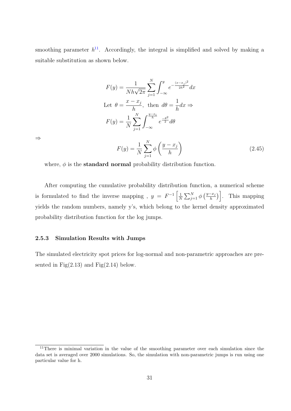<span id="page-38-0"></span>smoothing parameter  $h^{11}$ . Accordingly, the integral is simplified and solved by making a suitable substitution as shown below.

$$
F(y) = \frac{1}{Nh\sqrt{2\pi}} \sum_{j=1}^{N} \int_{-\infty}^{y} e^{-\frac{(x-x_j)^2}{2h^2}} dx
$$
  
Let  $\theta = \frac{x - x_j}{h}$ , then  $d\theta = \frac{1}{h} dx \Rightarrow$   

$$
F(y) = \frac{1}{N} \sum_{j=1}^{N} \int_{-\infty}^{\frac{y-x_i}{h}} e^{\frac{-\theta^2}{2}} d\theta
$$

⇒

$$
F(y) = \frac{1}{N} \sum_{j=1}^{N} \phi\left(\frac{y - x_j}{h}\right)
$$
\n(2.45)

where,  $\phi$  is the **standard normal** probability distribution function.

After computing the cumulative probability distribution function, a numerical scheme is formulated to find the inverse mapping,  $y = F^{-1}$  $\begin{bmatrix} 1 \end{bmatrix}$ N  $\bigtriangledown N$  $_{j=1}^N$   $\phi$  $(y-x_j)$ h  $\frac{1}{\sqrt{1}}$ . This mapping yields the random numbers, namely y's, which belong to the kernel density approximated probability distribution function for the log jumps.

#### 2.5.3 Simulation Results with Jumps

The simulated electricity spot prices for log-normal and non-parametric approaches are presented in Fig $(2.13)$  and Fig $(2.14)$  below.

<sup>&</sup>lt;sup>11</sup>There is minimal variation in the value of the smoothing parameter over each simulation since the data set is averaged over 2000 simulations. So, the simulation with non-parametric jumps is run using one particular value for h.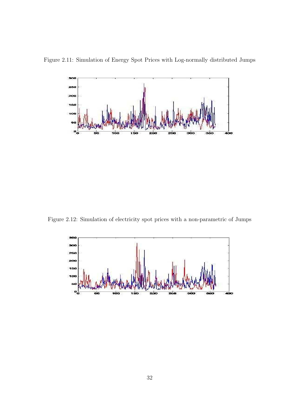Figure 2.11: Simulation of Energy Spot Prices with Log-normally distributed Jumps



Figure 2.12: Simulation of electricity spot prices with a non-parametric of Jumps

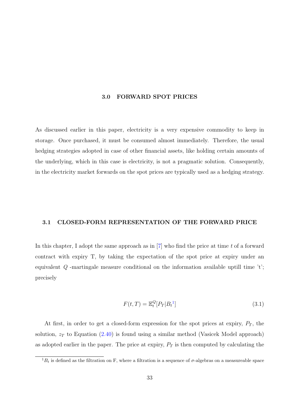#### 3.0 FORWARD SPOT PRICES

<span id="page-40-0"></span>As discussed earlier in this paper, electricity is a very expensive commodity to keep in storage. Once purchased, it must be consumed almost immediately. Therefore, the usual hedging strategies adopted in case of other financial assets, like holding certain amounts of the underlying, which in this case is electricity, is not a pragmatic solution. Consequently, in the electricity market forwards on the spot prices are typically used as a hedging strategy.

#### 3.1 CLOSED-FORM REPRESENTATION OF THE FORWARD PRICE

In this chapter, I adopt the same approach as in  $[7]$  who find the price at time t of a forward contract with expiry T, by taking the expectation of the spot price at expiry under an equivale[n](#page-47-0)t  $Q$  -martingale measure conditional on the information available uptill time 't'; precisely

$$
F(t,T) = \mathbb{E}_t^Q [P_T | B_t^1]
$$
\n(3.1)

At first, in order to get a closed-form expression for the spot prices at expiry,  $P_T$ , the solution,  $z_T$  to Equation (2.40) is found using a similar method (Vasicek Model approach) as adopted earlier in the paper. The price at expiry,  $P_T$  is then computed by calculating the

 ${}^{1}B_{t}$  is defined as the filtrati[on on](#page-35-0) F, where a filtration is a sequence of  $\sigma$ -algebras on a measureable space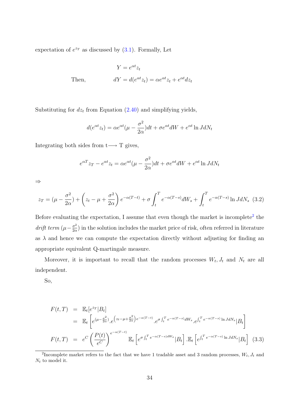expectation of  $e^{z_T}$  as discussed by  $(3.1)$ . Formally, Let

$$
Y = e^{\alpha t} z_t
$$
  
Then, 
$$
dY = d(e^{\alpha t} z_t) = \alpha e^{\alpha t} z_t + e^{\alpha t} dz_t
$$

Substituting for  $dz_t$  from Equation (2.40) and simplifying yields,

$$
d(e^{\alpha t}z_t) = \alpha e^{\alpha t} (\mu - \frac{\sigma^2}{2\alpha}) dt + \sigma e^{\alpha t} dW + e^{\alpha t} \ln J dN_t
$$

Integrating both sides from  $t \rightarrow T$  gives,

$$
e^{\alpha T}z_T - e^{\alpha t}z_t = \alpha e^{\alpha t}(\mu - \frac{\sigma^2}{2\alpha})dt + \sigma e^{\alpha t}dW + e^{\alpha t}\ln JdN_t
$$

⇒

$$
z_T = (\mu - \frac{\sigma^2}{2\alpha}) + \left(z_t - \mu + \frac{\sigma^2}{2\alpha}\right)e^{-\alpha(T-t)} + \sigma \int_t^T e^{-\alpha(T-s)}dW_s + \int_t^T e^{-\alpha(T-s)}\ln JdN_s \tag{3.2}
$$

Before evaluating the expectation, I assume that even though the market is incomplete<sup>2</sup> the drift term  $(\mu - \frac{\sigma^2}{2a})$  $\frac{\sigma^2}{2\alpha}$ ) in the solution includes the market price of risk, often referred in literature as  $\lambda$  and hence we can compute the expectation directly without adjusting for finding an appropriate equivalent Q-martingale measure.

Moreover, it is important to recall that the random processes  $W_t, J_t$  and  $N_t$  are all independent.

So,

$$
F(t,T) = \mathbb{E}_t[e^{z_T}|B_t]
$$
  
\n
$$
= \mathbb{E}_t\left[e^{(\mu-\frac{\sigma^2}{2\alpha})}.e^{\left(z_t-\mu+\frac{\sigma^2}{2\alpha}\right)e^{-\alpha(T-t)}}.e^{\sigma\int_t^T e^{-\alpha(T-s)}dW_s}.e^{\int_t^T e^{-\alpha(T-s)}\ln JdN_s}|B_t\right]
$$
  
\n
$$
F(t,T) = e^C\left(\frac{P(t)}{e^C}\right)^{e^{-\alpha(T-t)}}\mathbb{E}_t\left[e^{\sigma\int_t^T e^{-\alpha(T-s)dW_s}}|B_t\right].\mathbb{E}_t\left[e^{\int_t^T e^{-\alpha(T-s)}\ln JdN_s}|B_t\right]
$$
(3.3)

<sup>&</sup>lt;sup>2</sup>Incomplete market refers to the fact that we have 1 tradable asset and 3 random processes,  $W_t, J_t$  and  $N_t$  to model it.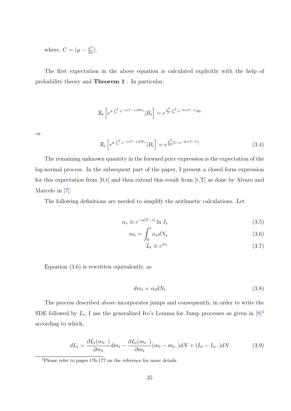where,  $C = (\mu - \frac{\sigma^2}{2g})$  $\frac{\sigma^2}{2\alpha}).$ 

The first expectation in the above equation is calculated explicitly with the help of probability theory and Theorem 1 . In particular,

$$
\mathbb{E}_t\left[e^{\sigma \int_t^T e^{-\alpha(T-s)dW_s}}|B_t\right] = e^{\frac{\sigma^2}{2}\int_t^T e^{-2\alpha(T-s)}ds}
$$

⇒

$$
\mathbb{E}_t \left[ e^{\sigma \int_t^T e^{-\alpha (T-s)dW_s}} |B_t \right] = e^{\frac{\sigma^2}{4\alpha} [1 - e^{-2\alpha (T-t)}]} \tag{3.4}
$$

The remaining unknown quantity in the forward price expression is the expectation of the log-normal process. In the subsequent part of the paper, I present a closed form expression for this expectation from  $[0,t]$  and then extend this result from  $[t,T]$  as done by Alvaro and Marcelo in [7].

The following definitions are needed to simplify the arithmetic calculations. Let

$$
\alpha_s \equiv e^{-\alpha(T-s)} \ln J_s \tag{3.5}
$$

$$
m_t = \int_0^t \alpha_s dN_s \tag{3.6}
$$

$$
L_t \equiv e^{m_t} \tag{3.7}
$$

Equation (3.6) is rewritten equivalently, as

$$
dm_t = \alpha_t dN_t \tag{3.8}
$$

The process described above incorporates jumps and consequently, in order to write the SDE followed by  $L_t$ , I use the generalized Ito's Lemma for Jump processes as given in  $[8]^3$ according to which,

$$
dL_t = \frac{\partial L_t(m_{t-})}{\partial m_t} dm_t - \frac{\partial L_t(m_{t-})}{\partial m_t}(m_t - m_{t-})dN + (L_t - L_{t-})dN \tag{3.9}
$$

<sup>&</sup>lt;sup>3</sup>Please refer to pages 176-177 on the reference for more details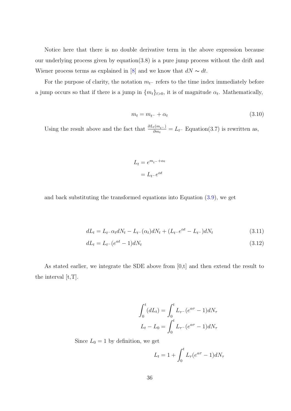Notice here that there is no double derivative term in the above expression because our underlying process given by equation(3.8) is a pure jump process without the drift and Wiener process terms as explained in [8] and we know that  $dN \sim dt$ .

For the purpose of clarity, the notation  $m_{t-}$  refers to the time index immediately before a ju[mp](#page-47-0) occurs so that if there is a jump in  $\{m_t\}_{t>0}$ , it is of magnitude  $\alpha_t$ . Mathematically,

$$
m_t = m_{t^-} + \alpha_t \tag{3.10}
$$

Using the result above and the fact that  $\frac{\partial L_t(m_{t-})}{\partial m_t} = L_t$ - Equation(3.7) is rewritten as,

$$
L_t = e^{m_{t-} + \alpha_t}
$$

$$
= L_{t-}e^{\alpha t}
$$

and back substituting the transformed equations into Equation  $(3.9)$ , we get

$$
dL_t = L_{t-} \alpha_t dN_t - L_{t-}(\alpha_t) dN_t + (L_{t-} e^{\alpha t} - L_{t-}) dN_t
$$
\n(3.11)

$$
dL_t = L_{t^-}(e^{\alpha t} - 1)dN_t
$$
\n(3.12)

As stated earlier, we integrate the SDE above from [0,t] and then extend the result to the interval [t,T].

$$
\int_0^t (dL_t) = \int_0^t L_{\tau^-} (e^{\alpha \tau} - 1) dN_{\tau}
$$

$$
L_t - L_0 = \int_0^t L_{\tau^-} (e^{\alpha \tau} - 1) dN_{\tau}
$$

Since  $L_0 = 1$  by definition, we get

$$
L_t = 1 + \int_0^t L_\tau (e^{\alpha \tau} - 1) dN_\tau
$$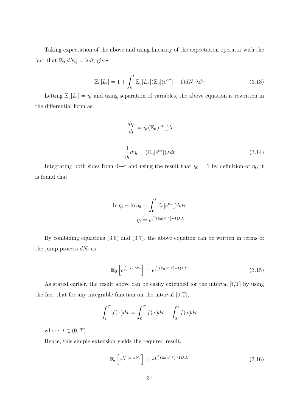Taking expectation of the above and using linearity of the expectation operator with the fact that  $\mathbb{E}_0[dN_t] = \lambda dt$ , gives,

$$
\mathbb{E}_0[L_t] = 1 + \int_0^t \mathbb{E}_0[L_\tau](\mathbb{E}_0[(e^{\alpha \tau}] - 1)dN_\tau \lambda d\tau \tag{3.13}
$$

Letting  $\mathbb{E}_0[L_t] = \eta_t$  and using separation of variables, the above equation is rewritten in the differential form as,

$$
\frac{d\eta_t}{dt} = \eta_t(\mathbb{E}_0[e^{\alpha_t}])\lambda
$$
\n
$$
\frac{1}{\eta_t}d\eta_t = (\mathbb{E}_0[e^{\alpha_t}])\lambda dt
$$
\n(3.14)

Integrating both sides from  $0 \rightarrow t$  and using the result that  $\eta_0 = 1$  by definition of  $\eta_t$ , it is found that

$$
\ln \eta_t - \ln \eta_0 = \int_0^t \mathbb{E}_0[e^{\alpha \tau}]\lambda d\tau
$$

$$
\eta_t = e^{\int_0^t (\mathbb{E}_0[e^{\alpha \tau}] - 1)\lambda d\tau}
$$

By combining equations (3.6) and (3.7), the above equation can be written in terms of the jump process  $dN_t$  as,

$$
\mathbb{E}_0\left[e^{\int_0^t \alpha_\tau dN_\tau}\right] = e^{\int_0^t (\mathbb{E}_0[e^{\alpha_\tau}]-1)\lambda d\tau}
$$
\n(3.15)

As stated earlier, the result above can be easily extended for the interval [t,T] by using the fact that for any integrable function on the interval  $[0,T]$ ,

$$
\int_t^T f(x)dx = \int_0^T f(x)dx - \int_0^t f(x)dx
$$

where,  $t \in (0, T)$ .

Hence, this simple extension yields the required result,

$$
\mathbb{E}_t\left[e^{\int_t^T \alpha_\tau dN_\tau}\right] = e^{\int_t^T (\mathbb{E}_0[e^{\alpha_\tau}] - 1)\lambda d\tau}
$$
\n(3.16)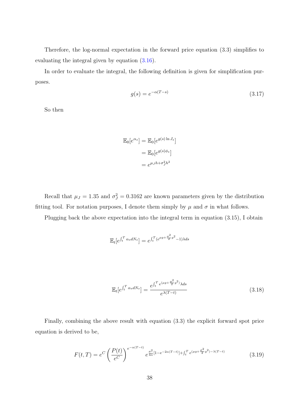<span id="page-45-0"></span>Therefore, the log-normal expectation in the forward price equation (3.3) simplifies to evaluating the integral given by equation (3.16).

In order to evaluate the integral, the following definition is given for simplification purposes.

$$
g(s) = e^{-\alpha(T-s)}\tag{3.17}
$$

So then

$$
\mathbb{E}_0[e^{\alpha_s}] = \mathbb{E}_0[e^{g(s)\ln J_s}]
$$

$$
= \mathbb{E}_0[e^{g(s)\phi_s}]
$$

$$
= e^{\mu_J h + \sigma_J^2 h^2}
$$

Recall that  $\mu_J = 1.35$  and  $\sigma_J^2 = 0.3162$  are known parameters given by the distribution fitting tool. For notation purposes, I denote them simply by  $\mu$  and  $\sigma$  in what follows.

Plugging back the above expectation into the integral term in equation (3.15), I obtain

$$
\mathbb{E}_t[e^{\int_t^T \alpha_s dN_s}] = e^{\int_t^T (e^{\mu g + \frac{\sigma^2}{2}g^2} - 1) \lambda ds}
$$

$$
\mathbb{E}_{t}[e^{\int_{t}^{T} \alpha_{s} dN_{s}}] = \frac{e^{\int_{t}^{T} e^{(\mu_{g} + \frac{\sigma^{2}}{2} g^{2})} \lambda ds}}{e^{\lambda (T-t)}}
$$
(3.18)

Finally, combining the above result with equation (3.3) the explicit forward spot price equation is derived to be,

$$
F(t,T) = e^C \left(\frac{P(t)}{e^C}\right)^{e^{-\alpha(T-t)}} e^{\frac{\sigma^2}{4\alpha}[1 - e^{-2\alpha(T-t)}] + \int_t^T e^{(\mu g + \frac{\sigma^2}{2}g^2) - \lambda(T-t)}}\tag{3.19}
$$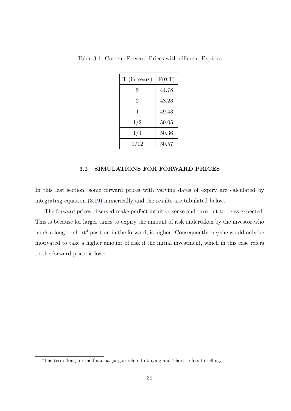| T (in years) | F(0,T) |
|--------------|--------|
| 5            | 44.78  |
| 2            | 48.23  |
| 1            | 49.43  |
| 1/2          | 50.05  |
| 1/4          | 50.36  |
| 1/12         | 50.57  |

Table 3.1: Current Forward Prices with different Expiries

#### 3.2 SIMULATIONS FOR FORWARD PRICES

In this last section, some forward prices with varying dates of expiry are calculated by integrating equation (3.19) numerically and the results are tabulated below.

The forward prices observed make perfect intuitive sense and turn out to be as expected. This is because for la[rger t](#page-45-0)imes to expiry the amount of risk undertaken by the investor who holds a long or short<sup>4</sup> position in the forward, is higher. Consequently, he/she would only be motivated to take a higher amount of risk if the initial investment, which in this case refers to the forward price, is lower.

<sup>&</sup>lt;sup>4</sup>The term 'long' in the financial jargon refers to buying and 'short' refers to selling.